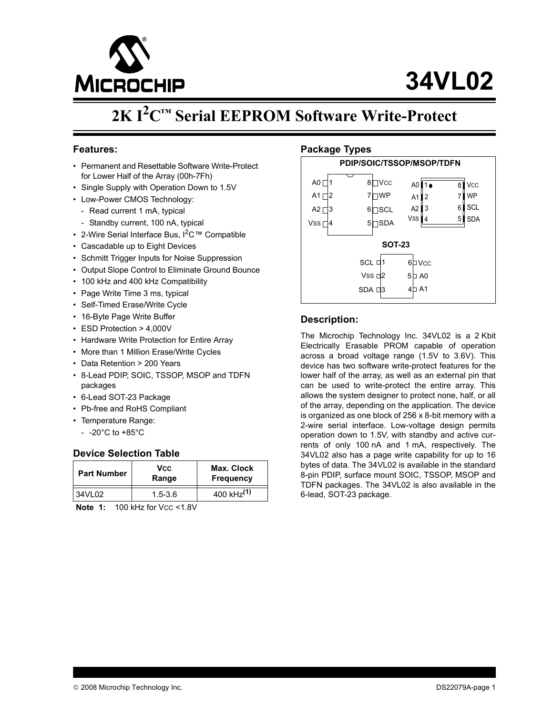

# **34VL02**

# **2K I2C™ Serial EEPROM Software Write-Protect**

#### **Features:**

- Permanent and Resettable Software Write-Protect for Lower Half of the Array (00h-7Fh)
- Single Supply with Operation Down to 1.5V
- Low-Power CMOS Technology:
	- Read current 1 mA, typical
- Standby current, 100 nA, typical
- 2-Wire Serial Interface Bus, I<sup>2</sup>C™ Compatible
- Cascadable up to Eight Devices
- Schmitt Trigger Inputs for Noise Suppression
- Output Slope Control to Eliminate Ground Bounce
- 100 kHz and 400 kHz Compatibility
- Page Write Time 3 ms, typical
- Self-Timed Erase/Write Cycle
- 16-Byte Page Write Buffer
- ESD Protection > 4,000V
- Hardware Write Protection for Entire Array
- More than 1 Million Erase/Write Cycles
- Data Retention > 200 Years
- 8-Lead PDIP, SOIC, TSSOP, MSOP and TDFN packages
- 6-Lead SOT-23 Package
- Pb-free and RoHS Compliant
- Temperature Range:
- $-20^{\circ}$ C to  $+85^{\circ}$ C

#### **Device Selection Table**

| <b>Part Number</b> | Vcc<br>Range | Max. Clock<br><b>Frequency</b> |
|--------------------|--------------|--------------------------------|
| 34VL02             | $1.5 - 3.6$  | 400 kHz <sup>(1)</sup>         |

**Note 1: 100 kHz for Vcc <1.8V** 

#### **Package Types** A0 1 A1 $\Box$ 2 A2 3  $V$ SS $\Box$ 4 8∏Vcc 7 WP 6∏SCL 5 SDA **PDIP/SOIC/TSSOP/MSOP/TDFN** A0 1 A1 A2 3 VSS 4 WP **SCL** SDA 8 Vcc 7 6 5  $\mathfrak{p}$ **SOT-23** 6 VCC 2 VSS A0  $SDA \Box 3$  4 4h A1 5 D A0  $SCL$   $11$

#### **Description:**

The Microchip Technology Inc. 34VL02 is a 2 Kbit Electrically Erasable PROM capable of operation across a broad voltage range (1.5V to 3.6V). This device has two software write-protect features for the lower half of the array, as well as an external pin that can be used to write-protect the entire array. This allows the system designer to protect none, half, or all of the array, depending on the application. The device is organized as one block of 256 x 8-bit memory with a 2-wire serial interface. Low-voltage design permits operation down to 1.5V, with standby and active currents of only 100 nA and 1 mA, respectively. The 34VL02 also has a page write capability for up to 16 bytes of data. The 34VL02 is available in the standard 8-pin PDIP, surface mount SOIC, TSSOP, MSOP and TDFN packages. The 34VL02 is also available in the 6-lead, SOT-23 package.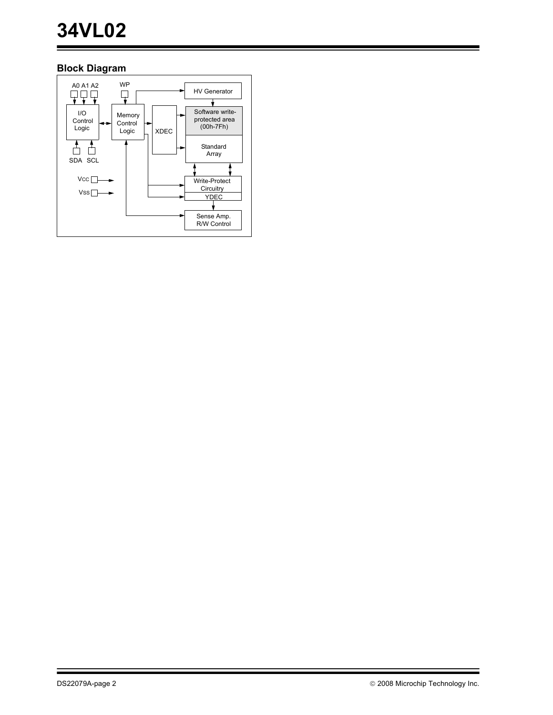#### **Block Diagram**

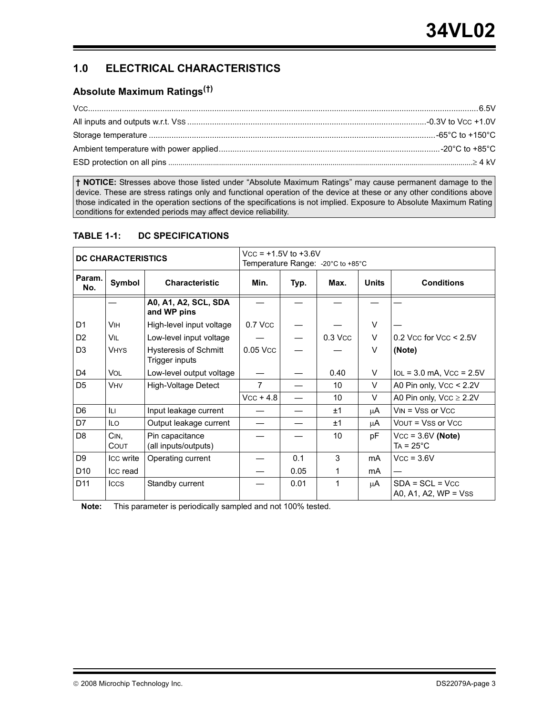### **1.0 ELECTRICAL CHARACTERISTICS**

#### **Absolute Maximum Ratings(†)**

**† NOTICE:** Stresses above those listed under "Absolute Maximum Ratings" may cause permanent damage to the device. These are stress ratings only and functional operation of the device at these or any other conditions above those indicated in the operation sections of the specifications is not implied. Exposure to Absolute Maximum Rating conditions for extended periods may affect device reliability.

#### **TABLE 1-1: DC SPECIFICATIONS**

| <b>DC CHARACTERISTICS</b> |              | $Vcc = +1.5V$ to $+3.6V$<br>Temperature Range: -20°C to +85°C |             |      |                 |              |                                             |
|---------------------------|--------------|---------------------------------------------------------------|-------------|------|-----------------|--------------|---------------------------------------------|
| Param.<br>No.             | Symbol       | <b>Characteristic</b>                                         | Min.        | Typ. | Max.            | <b>Units</b> | <b>Conditions</b>                           |
|                           |              | A0, A1, A2, SCL, SDA<br>and WP pins                           |             |      |                 |              |                                             |
| D <sub>1</sub>            | <b>VIH</b>   | High-level input voltage                                      | $0.7$ Vcc   |      |                 | V            |                                             |
| D <sub>2</sub>            | VIL          | Low-level input voltage                                       |             |      | $0.3$ Vcc       | $\vee$       | 0.2 Vcc for $Vcc < 2.5V$                    |
| D <sub>3</sub>            | <b>VHYS</b>  | <b>Hysteresis of Schmitt</b><br>Trigger inputs                | $0.05$ Vcc  |      |                 | $\vee$       | (Note)                                      |
| D <sub>4</sub>            | <b>VOL</b>   | Low-level output voltage                                      |             |      | 0.40            | V            | $IOL = 3.0$ mA, $VCC = 2.5V$                |
| D <sub>5</sub>            | <b>VHV</b>   | High-Voltage Detect                                           | 7           |      | 10              | $\vee$       | A0 Pin only, Vcc < 2.2V                     |
|                           |              |                                                               | $VCC + 4.8$ |      | 10 <sup>1</sup> | $\vee$       | A0 Pin only, $Vcc \ge 2.2V$                 |
| D <sub>6</sub>            | Iц           | Input leakage current                                         |             |      | ±1              | μA           | $V_{IN}$ = Vss or Vcc                       |
| D7                        | <b>ILO</b>   | Output leakage current                                        |             |      | ±1              | μA           | $VOUT = VSS$ or $VCC$                       |
| D <sub>8</sub>            | CIN,<br>COUT | Pin capacitance<br>(all inputs/outputs)                       |             |      | 10              | рF           | $VCC = 3.6V (Note)$<br>$TA = 25^{\circ}C$   |
| D <sub>9</sub>            | Icc write    | Operating current                                             |             | 0.1  | 3               | mA           | $Vcc = 3.6V$                                |
| D <sub>10</sub>           | Icc read     |                                                               |             | 0.05 | 1               | mA           |                                             |
| D11                       | <b>ICCS</b>  | Standby current                                               |             | 0.01 | 1               | μA           | $SDA = SCL = VCC$<br>A0, A1, A2, $WP = Vss$ |

<span id="page-2-0"></span>**Note:** This parameter is periodically sampled and not 100% tested.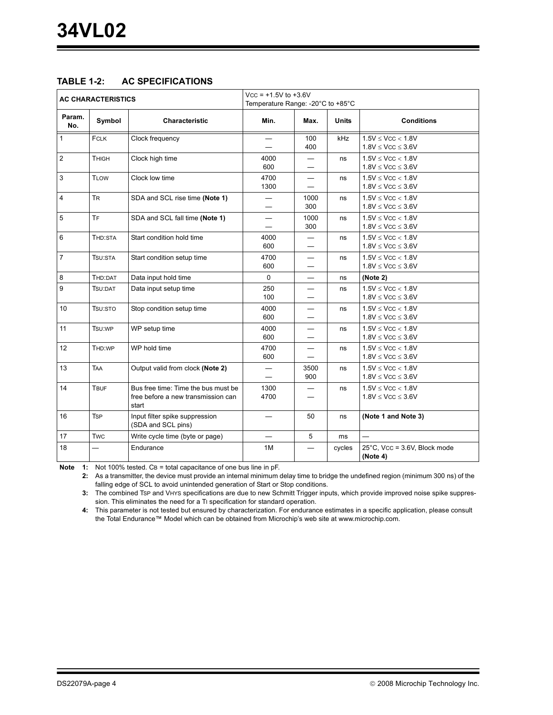#### **TABLE 1-2: AC SPECIFICATIONS**

| <b>AC CHARACTERISTICS</b> |                                 | $Vcc = +1.5V$ to $+3.6V$<br>Temperature Range: -20°C to +85°C                      |                          |                          |              |                                                     |
|---------------------------|---------------------------------|------------------------------------------------------------------------------------|--------------------------|--------------------------|--------------|-----------------------------------------------------|
| Param.<br>No.             | Symbol                          | Characteristic                                                                     | Min.                     | Max.                     | <b>Units</b> | <b>Conditions</b>                                   |
| 1                         | FCLK                            | Clock frequency                                                                    |                          | 100<br>400               | kHz          | $1.5V \leq VCC < 1.8V$<br>$1.8V \leq VCC \leq 3.6V$ |
| $\overline{2}$            | <b>THIGH</b>                    | Clock high time                                                                    | 4000<br>600              | $\overline{\phantom{0}}$ | ns           | $1.5V \leq VCC < 1.8V$<br>$1.8V \leq VCC \leq 3.6V$ |
| 3                         | <b>TLOW</b>                     | Clock low time                                                                     | 4700<br>1300             |                          | ns           | $1.5V \leq VCC < 1.8V$<br>$1.8V \leq VCC \leq 3.6V$ |
| 4                         | <b>TR</b>                       | SDA and SCL rise time (Note 1)                                                     |                          | 1000<br>300              | ns           | 1.5V < VCC < 1.8V<br>$1.8V \leq VCC \leq 3.6V$      |
| 5                         | TF                              | SDA and SCL fall time (Note 1)                                                     |                          | 1000<br>300              | ns           | 1.5V < VCC < 1.8V<br>$1.8V \leq VCC \leq 3.6V$      |
| 6                         | THD:STA                         | Start condition hold time                                                          | 4000<br>600              |                          | ns           | $1.5V \leq VCC < 1.8V$<br>$1.8V \leq VCC \leq 3.6V$ |
| $\overline{7}$            | TSU:STA                         | Start condition setup time                                                         | 4700<br>600              |                          | ns           | $1.5V \leq VCC < 1.8V$<br>$1.8V \leq VCC \leq 3.6V$ |
| 8                         | THD:DAT                         | Data input hold time                                                               | 0                        |                          | ns           | (Note 2)                                            |
| 9                         | TSU:DAT                         | Data input setup time                                                              | 250<br>100               |                          | ns           | $1.5V \leq VCC < 1.8V$<br>$1.8V \leq VCC \leq 3.6V$ |
| 10                        | TSU:STO                         | Stop condition setup time                                                          | 4000<br>600              |                          | ns           | $1.5V \leq VCC < 1.8V$<br>$1.8V \leq VCC \leq 3.6V$ |
| 11                        | T <sub>SU</sub> : <sub>WP</sub> | WP setup time                                                                      | 4000<br>600              |                          | ns           | $1.5V \leq VCC < 1.8V$<br>$1.8V \leq VCC \leq 3.6V$ |
| 12                        | THD:WP                          | WP hold time                                                                       | 4700<br>600              |                          | ns           | $1.5V \leq VCC < 1.8V$<br>$1.8V \leq VCC \leq 3.6V$ |
| 13                        | TAA                             | Output valid from clock (Note 2)                                                   | $\overline{\phantom{0}}$ | 3500<br>900              | ns           | $1.5V \leq VCC < 1.8V$<br>$1.8V \leq VCC \leq 3.6V$ |
| 14                        | <b>TBUF</b>                     | Bus free time: Time the bus must be<br>free before a new transmission can<br>start | 1300<br>4700             |                          | ns           | $1.5V \leq VCC < 1.8V$<br>$1.8V \leq VCC \leq 3.6V$ |
| 16                        | <b>TSP</b>                      | Input filter spike suppression<br>(SDA and SCL pins)                               |                          | 50                       | ns           | (Note 1 and Note 3)                                 |
| 17                        | <b>Twc</b>                      | Write cycle time (byte or page)                                                    |                          | 5                        | ms           |                                                     |
| 18                        |                                 | Endurance                                                                          | 1M                       |                          | cycles       | $25^{\circ}$ C, Vcc = 3.6V, Block mode<br>(Note 4)  |

<span id="page-3-1"></span><span id="page-3-0"></span>Note 1: Not 100% tested. CB = total capacitance of one bus line in pF.

**2:** As a transmitter, the device must provide an internal minimum delay time to bridge the undefined region (minimum 300 ns) of the falling edge of SCL to avoid unintended generation of Start or Stop conditions.

<span id="page-3-3"></span>**3:** The combined TSP and VHYS specifications are due to new Schmitt Trigger inputs, which provide improved noise spike suppression. This eliminates the need for a TI specification for standard operation.

<span id="page-3-2"></span>**4:** This parameter is not tested but ensured by characterization. For endurance estimates in a specific application, please consult the Total Endurance™ Model which can be obtained from Microchip's web site at www.microchip.com.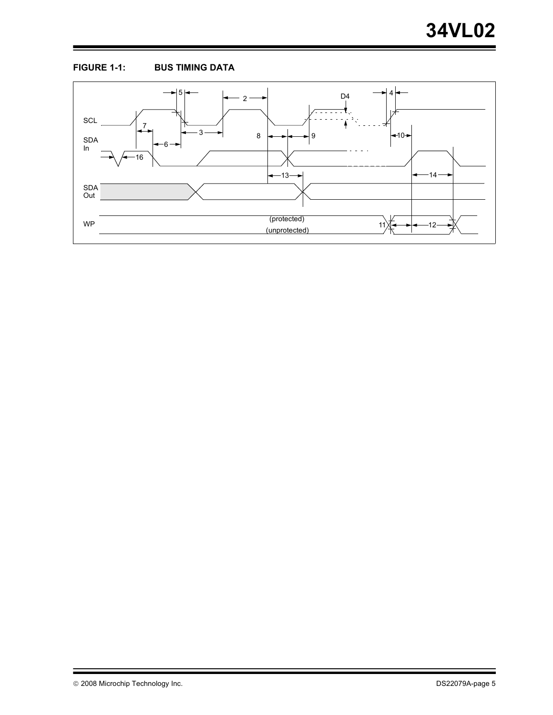

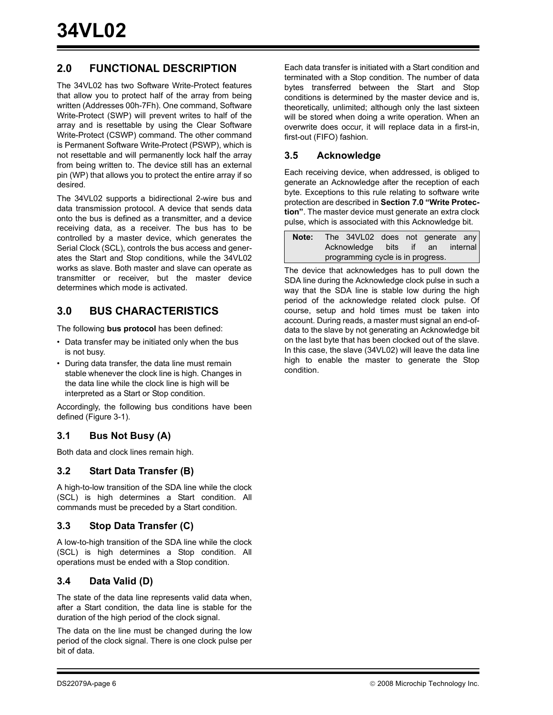#### **2.0 FUNCTIONAL DESCRIPTION**

The 34VL02 has two Software Write-Protect features that allow you to protect half of the array from being written (Addresses 00h-7Fh). One command, Software Write-Protect (SWP) will prevent writes to half of the array and is resettable by using the Clear Software Write-Protect (CSWP) command. The other command is Permanent Software Write-Protect (PSWP), which is not resettable and will permanently lock half the array from being written to. The device still has an external pin (WP) that allows you to protect the entire array if so desired.

The 34VL02 supports a bidirectional 2-wire bus and data transmission protocol. A device that sends data onto the bus is defined as a transmitter, and a device receiving data, as a receiver. The bus has to be controlled by a master device, which generates the Serial Clock (SCL), controls the bus access and generates the Start and Stop conditions, while the 34VL02 works as slave. Both master and slave can operate as transmitter or receiver, but the master device determines which mode is activated.

#### **3.0 BUS CHARACTERISTICS**

The following **bus protocol** has been defined:

- Data transfer may be initiated only when the bus is not busy.
- During data transfer, the data line must remain stable whenever the clock line is high. Changes in the data line while the clock line is high will be interpreted as a Start or Stop condition.

Accordingly, the following bus conditions have been defined ([Figure 3-1\)](#page-6-0).

#### **3.1 Bus Not Busy (A)**

Both data and clock lines remain high.

#### **3.2 Start Data Transfer (B)**

A high-to-low transition of the SDA line while the clock (SCL) is high determines a Start condition. All commands must be preceded by a Start condition.

#### **3.3 Stop Data Transfer (C)**

A low-to-high transition of the SDA line while the clock (SCL) is high determines a Stop condition. All operations must be ended with a Stop condition.

#### **3.4 Data Valid (D)**

The state of the data line represents valid data when, after a Start condition, the data line is stable for the duration of the high period of the clock signal.

The data on the line must be changed during the low period of the clock signal. There is one clock pulse per bit of data.

Each data transfer is initiated with a Start condition and terminated with a Stop condition. The number of data bytes transferred between the Start and Stop conditions is determined by the master device and is, theoretically, unlimited; although only the last sixteen will be stored when doing a write operation. When an overwrite does occur, it will replace data in a first-in, first-out (FIFO) fashion.

#### **3.5 Acknowledge**

Each receiving device, when addressed, is obliged to generate an Acknowledge after the reception of each byte. Exceptions to this rule relating to software write protection are described in **[Section 7.0 "Write Protec](#page-11-0)[tion"](#page-11-0)**. The master device must generate an extra clock pulse, which is associated with this Acknowledge bit.

| Note: | The 34VL02 does not generate any  |  |  |  |
|-------|-----------------------------------|--|--|--|
|       | Acknowledge bits if an internal   |  |  |  |
|       | programming cycle is in progress. |  |  |  |

The device that acknowledges has to pull down the SDA line during the Acknowledge clock pulse in such a way that the SDA line is stable low during the high period of the acknowledge related clock pulse. Of course, setup and hold times must be taken into account. During reads, a master must signal an end-ofdata to the slave by not generating an Acknowledge bit on the last byte that has been clocked out of the slave. In this case, the slave (34VL02) will leave the data line high to enable the master to generate the Stop condition.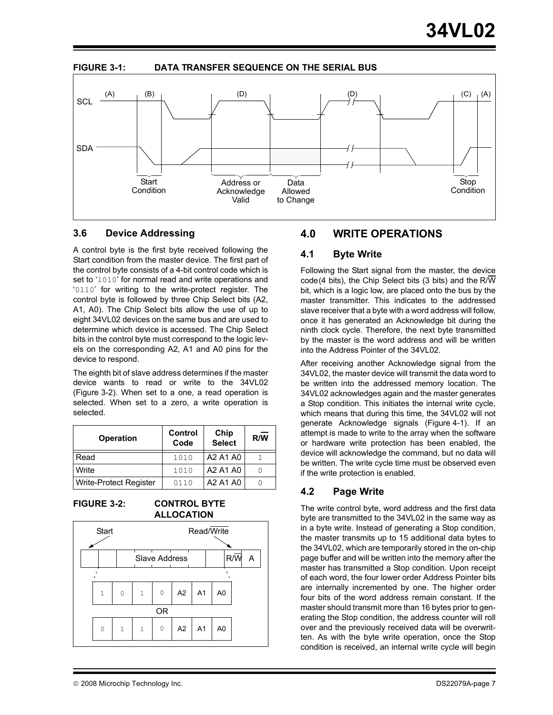<span id="page-6-0"></span>



#### **3.6 Device Addressing**

A control byte is the first byte received following the Start condition from the master device. The first part of the control byte consists of a 4-bit control code which is set to '1010' for normal read and write operations and '0110' for writing to the write-protect register. The control byte is followed by three Chip Select bits (A2, A1, A0). The Chip Select bits allow the use of up to eight 34VL02 devices on the same bus and are used to determine which device is accessed. The Chip Select bits in the control byte must correspond to the logic levels on the corresponding A2, A1 and A0 pins for the device to respond.

The eighth bit of slave address determines if the master device wants to read or write to the 34VL02 ([Figure 3-2\)](#page-6-1). When set to a one, a read operation is selected. When set to a zero, a write operation is selected.

| <b>Operation</b>       | Control<br>Code | Chip<br><b>Select</b> | R/W |
|------------------------|-----------------|-----------------------|-----|
| Read                   | 1010            | A2 A1 A0              |     |
| Write                  | 1010            | A2 A1 A0              |     |
| Write-Protect Register | 0110            | A2 A1 A0              |     |

#### <span id="page-6-1"></span>**FIGURE 3-2: CONTROL BYTE ALLOCATION**



#### **4.0 WRITE OPERATIONS**

#### **4.1 Byte Write**

Following the Start signal from the master, the device code(4 bits), the Chip Select bits (3 bits) and the R/W bit, which is a logic low, are placed onto the bus by the master transmitter. This indicates to the addressed slave receiver that a byte with a word address will follow, once it has generated an Acknowledge bit during the ninth clock cycle. Therefore, the next byte transmitted by the master is the word address and will be written into the Address Pointer of the 34VL02.

After receiving another Acknowledge signal from the 34VL02, the master device will transmit the data word to be written into the addressed memory location. The 34VL02 acknowledges again and the master generates a Stop condition. This initiates the internal write cycle, which means that during this time, the 34VL02 will not generate Acknowledge signals ([Figure 4-1](#page-7-0)). If an attempt is made to write to the array when the software or hardware write protection has been enabled, the device will acknowledge the command, but no data will be written. The write cycle time must be observed even if the write protection is enabled.

#### **4.2 Page Write**

The write control byte, word address and the first data byte are transmitted to the 34VL02 in the same way as in a byte write. Instead of generating a Stop condition, the master transmits up to 15 additional data bytes to the 34VL02, which are temporarily stored in the on-chip page buffer and will be written into the memory after the master has transmitted a Stop condition. Upon receipt of each word, the four lower order Address Pointer bits are internally incremented by one. The higher order four bits of the word address remain constant. If the master should transmit more than 16 bytes prior to generating the Stop condition, the address counter will roll over and the previously received data will be overwritten. As with the byte write operation, once the Stop condition is received, an internal write cycle will begin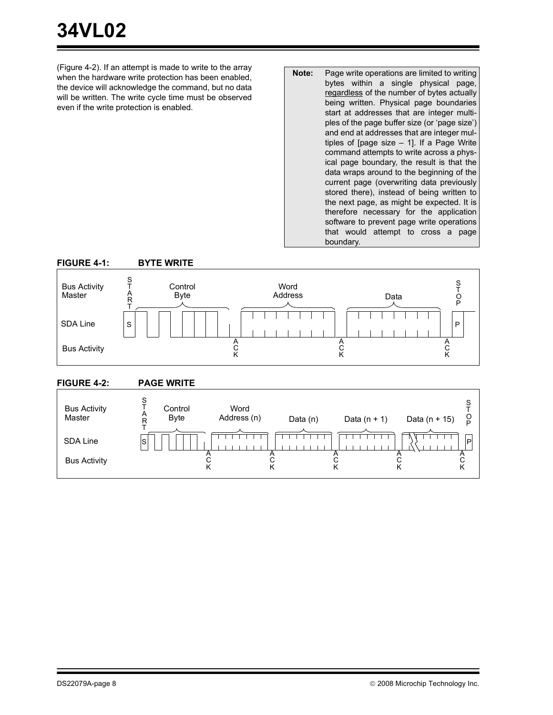([Figure 4-2\)](#page-7-1). If an attempt is made to write to the array when the hardware write protection has been enabled, the device will acknowledge the command, but no data will be written. The write cycle time must be observed even if the write protection is enabled.

**Note:** Page write operations are limited to writing bytes within a single physical page, regardless of the number of bytes actually being written. Physical page boundaries start at addresses that are integer multiples of the page buffer size (or 'page size') and end at addresses that are integer multiples of [page size – 1]. If a Page Write command attempts to write across a physical page boundary, the result is that the data wraps around to the beginning of the current page (overwriting data previously stored there), instead of being written to the next page, as might be expected. It is therefore necessary for the application software to prevent page write operations that would attempt to cross a page boundary.

<span id="page-7-0"></span>

#### <span id="page-7-1"></span>**FIGURE 4-2: PAGE WRITE**

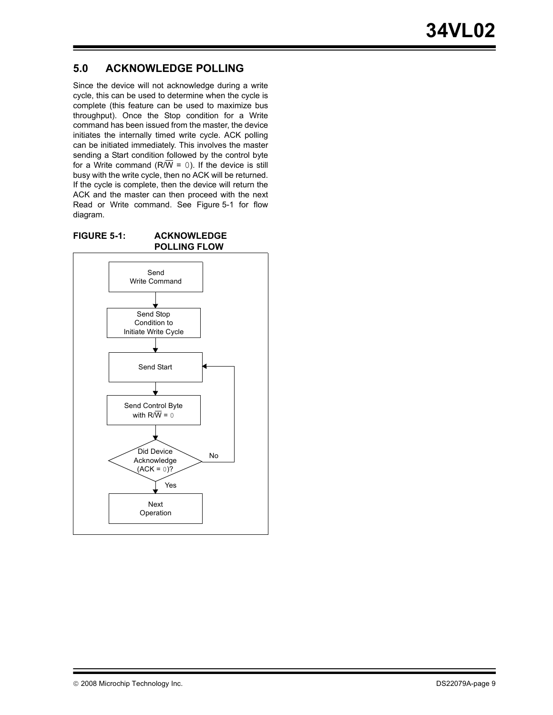#### **5.0 ACKNOWLEDGE POLLING**

Since the device will not acknowledge during a write cycle, this can be used to determine when the cycle is complete (this feature can be used to maximize bus throughput). Once the Stop condition for a Write command has been issued from the master, the device initiates the internally timed write cycle. ACK polling can be initiated immediately. This involves the master sending a Start condition followed by the control byte for a Write command ( $R/\overline{W} = 0$ ). If the device is still busy with the write cycle, then no ACK will be returned. If the cycle is complete, then the device will return the ACK and the master can then proceed with the next Read or Write command. See [Figure 5-1](#page-8-0) for flow diagram.

<span id="page-8-0"></span>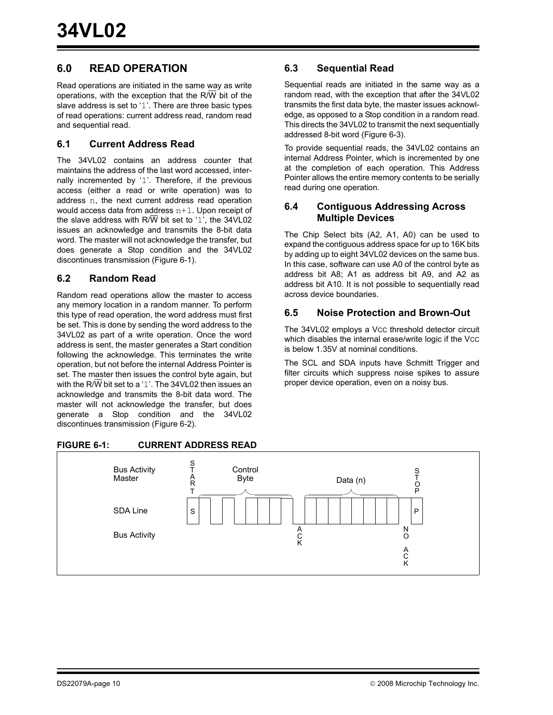#### **6.0 READ OPERATION**

Read operations are initiated in the same way as write operations, with the exception that the  $R/\overline{W}$  bit of the slave address is set to '1'. There are three basic types of read operations: current address read, random read and sequential read.

#### **6.1 Current Address Read**

The 34VL02 contains an address counter that maintains the address of the last word accessed, internally incremented by '1'. Therefore, if the previous access (either a read or write operation) was to address n, the next current address read operation would access data from address  $n+1$ . Upon receipt of the slave address with  $R/\overline{W}$  bit set to '1', the 34VL02 issues an acknowledge and transmits the 8-bit data word. The master will not acknowledge the transfer, but does generate a Stop condition and the 34VL02 discontinues transmission [\(Figure 6-1](#page-9-0)).

#### **6.2 Random Read**

Random read operations allow the master to access any memory location in a random manner. To perform this type of read operation, the word address must first be set. This is done by sending the word address to the 34VL02 as part of a write operation. Once the word address is sent, the master generates a Start condition following the acknowledge. This terminates the write operation, but not before the internal Address Pointer is set. The master then issues the control byte again, but with the R/ $\overline{W}$  bit set to a '1'. The 34VL02 then issues an acknowledge and transmits the 8-bit data word. The master will not acknowledge the transfer, but does generate a Stop condition and the 34VL02 discontinues transmission [\(Figure 6-2](#page-10-0)).

#### <span id="page-9-0"></span>**FIGURE 6-1: CURRENT ADDRESS READ**



Sequential reads are initiated in the same way as a random read, with the exception that after the 34VL02 transmits the first data byte, the master issues acknowledge, as opposed to a Stop condition in a random read. This directs the 34VL02 to transmit the next sequentially addressed 8-bit word [\(Figure 6-3\)](#page-10-1).

To provide sequential reads, the 34VL02 contains an internal Address Pointer, which is incremented by one at the completion of each operation. This Address Pointer allows the entire memory contents to be serially read during one operation.

#### **6.4 Contiguous Addressing Across Multiple Devices**

The Chip Select bits (A2, A1, A0) can be used to expand the contiguous address space for up to 16K bits by adding up to eight 34VL02 devices on the same bus. In this case, software can use A0 of the control byte as address bit A8; A1 as address bit A9, and A2 as address bit A10. It is not possible to sequentially read across device boundaries.

#### **6.5 Noise Protection and Brown-Out**

The 34VL02 employs a Vcc threshold detector circuit which disables the internal erase/write logic if the Vcc is below 1.35V at nominal conditions.

The SCL and SDA inputs have Schmitt Trigger and filter circuits which suppress noise spikes to assure proper device operation, even on a noisy bus.

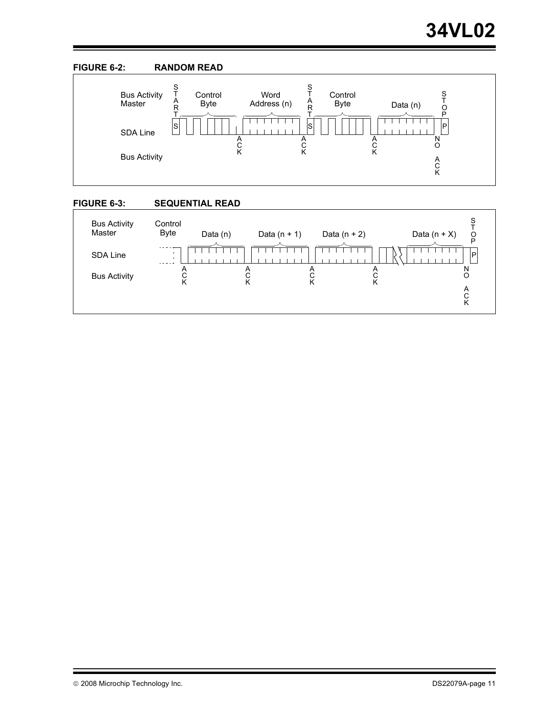<span id="page-10-0"></span>

<span id="page-10-1"></span>

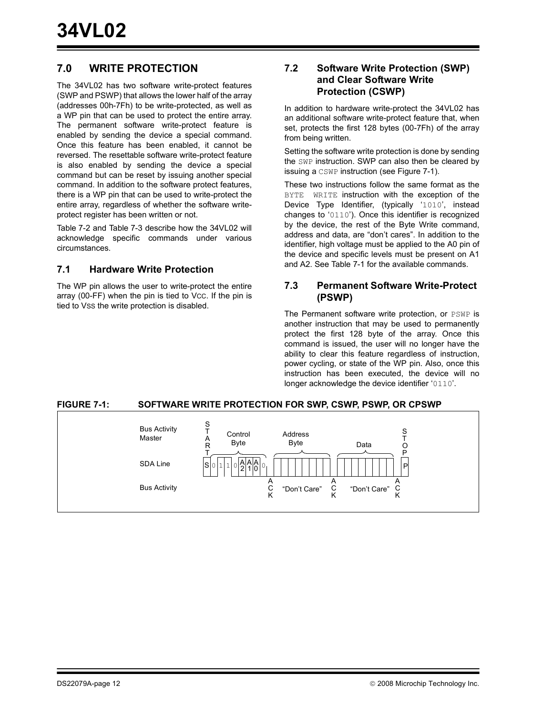### <span id="page-11-0"></span>**7.0 WRITE PROTECTION**

The 34VL02 has two software write-protect features (SWP and PSWP) that allows the lower half of the array (addresses 00h-7Fh) to be write-protected, as well as a WP pin that can be used to protect the entire array. The permanent software write-protect feature is enabled by sending the device a special command. Once this feature has been enabled, it cannot be reversed. The resettable software write-protect feature is also enabled by sending the device a special command but can be reset by issuing another special command. In addition to the software protect features, there is a WP pin that can be used to write-protect the entire array, regardless of whether the software writeprotect register has been written or not.

[Table 7-2](#page-12-1) and [Table 7-3](#page-12-2) describe how the 34VL02 will acknowledge specific commands under various circumstances.

#### **7.1 Hardware Write Protection**

The WP pin allows the user to write-protect the entire array (00-FF) when the pin is tied to VCC. If the pin is tied to VSS the write protection is disabled.

#### **7.2 Software Write Protection (SWP) and Clear Software Write Protection (CSWP)**

In addition to hardware write-protect the 34VL02 has an additional software write-protect feature that, when set, protects the first 128 bytes (00-7Fh) of the array from being written.

Setting the software write protection is done by sending the SWP instruction. SWP can also then be cleared by issuing a CSWP instruction (see [Figure 7-1](#page-11-1)).

These two instructions follow the same format as the BYTE WRITE instruction with the exception of the Device Type Identifier, (typically '1010', instead changes to '0110'). Once this identifier is recognized by the device, the rest of the Byte Write command, address and data, are "don't cares". In addition to the identifier, high voltage must be applied to the A0 pin of the device and specific levels must be present on A1 and A2. See [Table 7-1](#page-12-0) for the available commands.

#### **7.3 Permanent Software Write-Protect (PSWP)**

The Permanent software write protection, or PSWP is another instruction that may be used to permanently protect the first 128 byte of the array. Once this command is issued, the user will no longer have the ability to clear this feature regardless of instruction, power cycling, or state of the WP pin. Also, once this instruction has been executed, the device will no longer acknowledge the device identifier '0110'.

#### <span id="page-11-1"></span>**FIGURE 7-1: SOFTWARE WRITE PROTECTION FOR SWP, CSWP, PSWP, OR CPSWP**

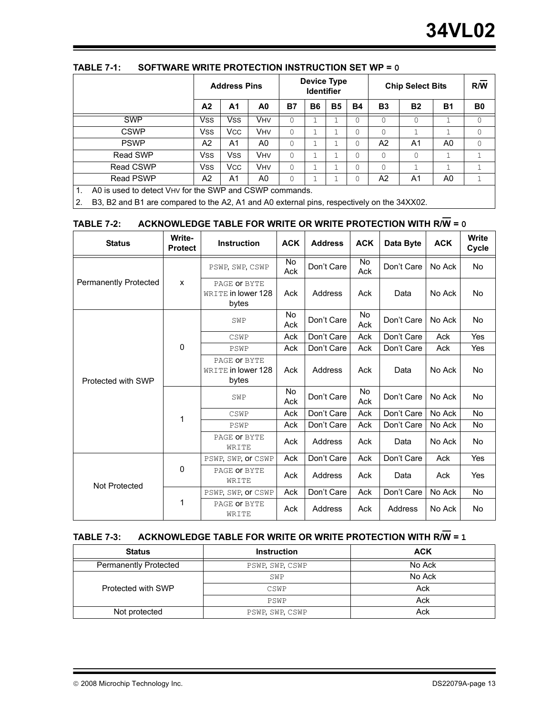|                                                        | <b>Address Pins</b> |                       | <b>Device Type</b><br><b>Identifier</b> |           |           | <b>Chip Select Bits</b> |             |                | R/W            |           |                |
|--------------------------------------------------------|---------------------|-----------------------|-----------------------------------------|-----------|-----------|-------------------------|-------------|----------------|----------------|-----------|----------------|
|                                                        | A <sub>2</sub>      | A1                    | A0                                      | <b>B7</b> | <b>B6</b> | <b>B5</b>               | <b>B4</b>   | <b>B3</b>      | <b>B2</b>      | <b>B1</b> | B <sub>0</sub> |
| <b>SWP</b>                                             | Vss                 | Vss                   | VHV                                     | $\Omega$  |           |                         | $\mathbf 0$ |                |                |           | $\Omega$       |
| <b>CSWP</b>                                            | Vss                 | <b>V<sub>CC</sub></b> | <b>VHV</b>                              | $\Omega$  |           |                         | $\Omega$    |                |                |           | $\Omega$       |
| <b>PSWP</b>                                            | A <sub>2</sub>      | A <sub>1</sub>        | A <sub>0</sub>                          | $\Omega$  |           |                         | $\mathbf 0$ | A <sub>2</sub> | A1             | A0        | 0              |
| Read SWP                                               | Vss                 | <b>VSS</b>            | <b>VHV</b>                              | $\Omega$  |           |                         | $\Omega$    |                | $\Omega$       |           |                |
| Read CSWP                                              | Vss                 | <b>V<sub>CC</sub></b> | <b>VHV</b>                              | $\Omega$  |           |                         | $\mathbf 0$ |                |                |           |                |
| Read PSWP                                              | A2                  | A1                    | A <sub>0</sub>                          | 0         |           |                         | $\mathbf 0$ | A <sub>2</sub> | A <sub>1</sub> | A0        |                |
| AQ is used to detect VHV for the SWP and CSWP commands |                     |                       |                                         |           |           |                         |             |                |                |           |                |

#### <span id="page-12-0"></span>**TABLE 7-1: SOFTWARE WRITE PROTECTION INSTRUCTION SET WP = 0**

VHV for the SWP and CSWP commands.

2. B3, B2 and B1 are compared to the A2, A1 and A0 external pins, respectively on the 34XX02.

#### <span id="page-12-1"></span>**TABLE 7-2:** ACKNOWLEDGE TABLE FOR WRITE OR WRITE PROTECTION WITH R/ $\overline{W}$  = 0

| <b>Status</b>         | Write-<br><b>Protect</b> | <b>Instruction</b>                          | <b>ACK</b> | <b>Address</b> | <b>ACK</b>              | Data Byte  | <b>ACK</b> | <b>Write</b><br>Cycle |
|-----------------------|--------------------------|---------------------------------------------|------------|----------------|-------------------------|------------|------------|-----------------------|
|                       |                          | PSWP, SWP, CSWP                             | No<br>Ack  | Don't Care     | <b>No</b><br><b>Ack</b> | Don't Care | No Ack     | <b>No</b>             |
| Permanently Protected | $\mathsf{x}$             | PAGE OF BYTE<br>WRITE in lower 128<br>bytes | Ack        | Address        | Ack                     | Data       | No Ack     | <b>No</b>             |
|                       |                          | SWP                                         | No<br>Ack  | Don't Care     | No<br><b>Ack</b>        | Don't Care | No Ack     | No                    |
|                       |                          | CSWP                                        | Ack        | Don't Care     | Ack                     | Don't Care | Ack        | Yes                   |
| Protected with SWP    | $\mathbf 0$              | PSWP                                        | Ack        | Don't Care     | <b>Ack</b>              | Don't Care | Ack        | Yes                   |
|                       |                          | PAGE OF BYTE<br>WRITE in lower 128<br>bytes | Ack        | Address        | Ack                     | Data       | No Ack     | No                    |
|                       | 1                        | SWP                                         | No<br>Ack  | Don't Care     | No<br><b>Ack</b>        | Don't Care | No Ack     | <b>No</b>             |
|                       |                          | CSWP                                        | Ack        | Don't Care     | <b>Ack</b>              | Don't Care | No Ack     | <b>No</b>             |
|                       |                          | PSWP                                        | Ack        | Don't Care     | Ack                     | Don't Care | No Ack     | <b>No</b>             |
|                       |                          | PAGE OF BYTE<br>WRITE                       | Ack        | Address        | Ack                     | Data       | No Ack     | No                    |
|                       |                          | PSWP, SWP, Or CSWP                          | Ack        | Don't Care     | <b>Ack</b>              | Don't Care | Ack        | Yes                   |
| Not Protected         | $\mathbf 0$              | PAGE OF BYTE<br>WRITE                       | Ack        | <b>Address</b> | Ack                     | Data       | Ack        | Yes                   |
|                       |                          | PSWP, SWP, Or CSWP                          | Ack        | Don't Care     | Ack                     | Don't Care | No Ack     | <b>No</b>             |
|                       | 1                        | PAGE OF BYTE<br>WRITE                       | Ack        | Address        | Ack                     | Address    | No Ack     | No                    |

### <span id="page-12-2"></span>**TABLE 7-3:** ACKNOWLEDGE TABLE FOR WRITE OR WRITE PROTECTION WITH R/ $\overline{W}$  = 1

| <b>Status</b>                | <b>Instruction</b> | <b>ACK</b> |
|------------------------------|--------------------|------------|
| <b>Permanently Protected</b> | PSWP, SWP, CSWP    | No Ack     |
|                              | SWP                | No Ack     |
| Protected with SWP           | CSWP               | Ack        |
|                              | PSWP               | Ack        |
| Not protected                | PSWP, SWP, CSWP    | Ack        |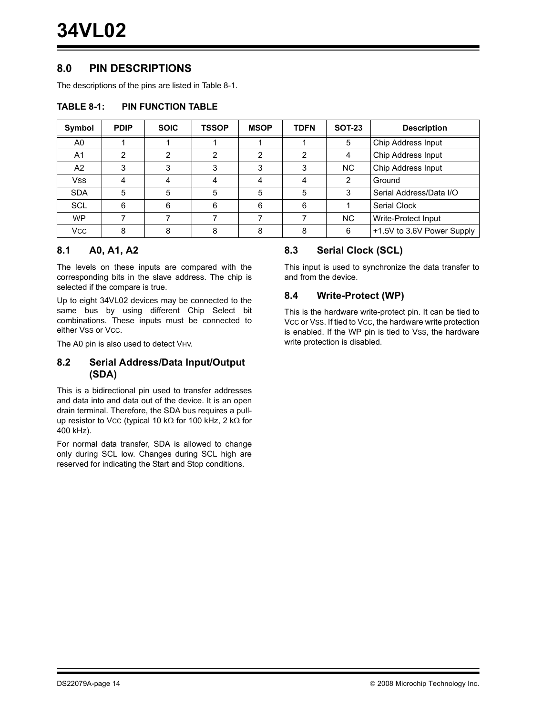#### **8.0 PIN DESCRIPTIONS**

The descriptions of the pins are listed in [Table 8-1.](#page-13-0)

#### <span id="page-13-0"></span>**TABLE 8-1: PIN FUNCTION TABLE**

| Symbol         | <b>PDIP</b> | <b>SOIC</b> | <b>TSSOP</b> | <b>MSOP</b> | <b>TDFN</b> | <b>SOT-23</b> | <b>Description</b>         |
|----------------|-------------|-------------|--------------|-------------|-------------|---------------|----------------------------|
| A0             |             |             |              |             |             | 5             | Chip Address Input         |
| A1             | ∩           | າ           | 2            | 2           | 2           | 4             | Chip Address Input         |
| A <sub>2</sub> | 3           | 3           | 3            | 3           | 3           | <b>NC</b>     | Chip Address Input         |
| <b>VSS</b>     |             |             |              |             |             | 2             | Ground                     |
| <b>SDA</b>     | 5           | 5           | 5            | 5           | 5           | 3             | Serial Address/Data I/O    |
| <b>SCL</b>     | 6           | 6           | 6            | 6           | 6           |               | Serial Clock               |
| <b>WP</b>      |             |             |              |             |             | <b>NC</b>     | Write-Protect Input        |
| Vcc            | 8           | 8           | 8            | 8           | 8           | 6             | +1.5V to 3.6V Power Supply |

#### **8.1 A0, A1, A2**

The levels on these inputs are compared with the corresponding bits in the slave address. The chip is selected if the compare is true.

Up to eight 34VL02 devices may be connected to the same bus by using different Chip Select bit combinations. These inputs must be connected to either Vss or Vcc.

The A0 pin is also used to detect VHV.

#### **8.2 Serial Address/Data Input/Output (SDA)**

This is a bidirectional pin used to transfer addresses and data into and data out of the device. It is an open drain terminal. Therefore, the SDA bus requires a pullup resistor to VCC (typical 10 kΩ for 100 kHz, 2 kΩ for 400 kHz).

For normal data transfer, SDA is allowed to change only during SCL low. Changes during SCL high are reserved for indicating the Start and Stop conditions.

#### **8.3 Serial Clock (SCL)**

This input is used to synchronize the data transfer to and from the device.

#### **8.4 Write-Protect (WP)**

This is the hardware write-protect pin. It can be tied to Vcc or Vss. If tied to Vcc, the hardware write protection is enabled. If the WP pin is tied to Vss, the hardware write protection is disabled.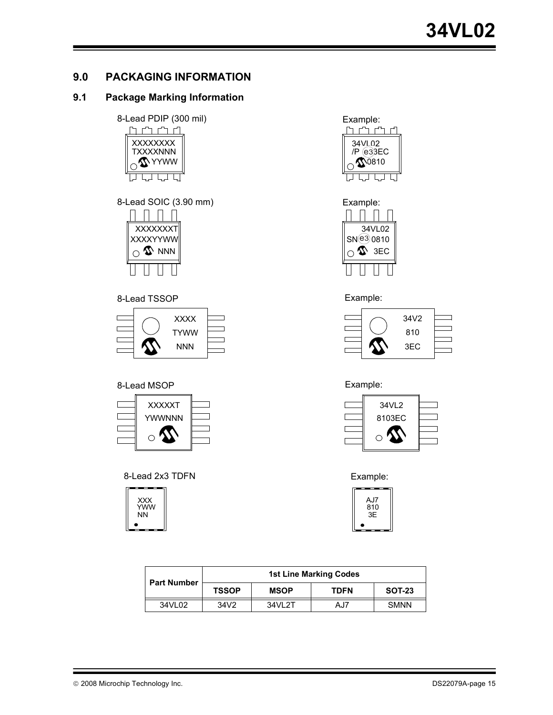#### **9.0 PACKAGING INFORMATION**

#### **9.1 Package Marking Information**



8-Lead SOIC (3.90 mm) Example:



#### 8-Lead TSSOP **Example:**



#### 8-Lead MSOP **Example:**



#### 8-Lead 2x3 TDFN











Example:



| <b>Part Number</b> |                  |             | <b>1st Line Marking Codes</b> |               |
|--------------------|------------------|-------------|-------------------------------|---------------|
|                    | <b>TSSOP</b>     | <b>MSOP</b> | <b>TDFN</b>                   | <b>SOT-23</b> |
| 34VI 02            | 34V <sub>2</sub> | 34VI 2T     | AJ7                           | <b>SMNN</b>   |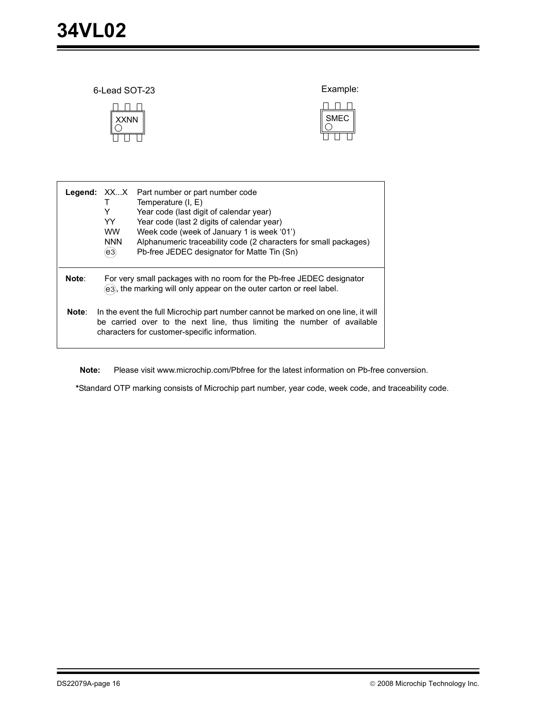6-Lead SOT-23 Example:

 $\overline{\mathbb{L}}$ 



|       | Τ<br>Y<br>YY.<br><b>WW</b><br><b>NNN</b><br>(e3) | <b>Legend:</b> XXX Part number or part number code<br>Temperature (I, E)<br>Year code (last digit of calendar year)<br>Year code (last 2 digits of calendar year)<br>Week code (week of January 1 is week '01')<br>Alphanumeric traceability code (2 characters for small packages)<br>Pb-free JEDEC designator for Matte Tin (Sn) |
|-------|--------------------------------------------------|------------------------------------------------------------------------------------------------------------------------------------------------------------------------------------------------------------------------------------------------------------------------------------------------------------------------------------|
| Note: |                                                  | For very small packages with no room for the Pb-free JEDEC designator<br>(e3), the marking will only appear on the outer carton or reel label.                                                                                                                                                                                     |
| Note: |                                                  | In the event the full Microchip part number cannot be marked on one line, it will<br>be carried over to the next line, thus limiting the number of available<br>characters for customer-specific information.                                                                                                                      |

**Note:** Please visit www.microchip.com/Pbfree for the latest information on Pb-free conversion.

**\***Standard OTP marking consists of Microchip part number, year code, week code, and traceability code.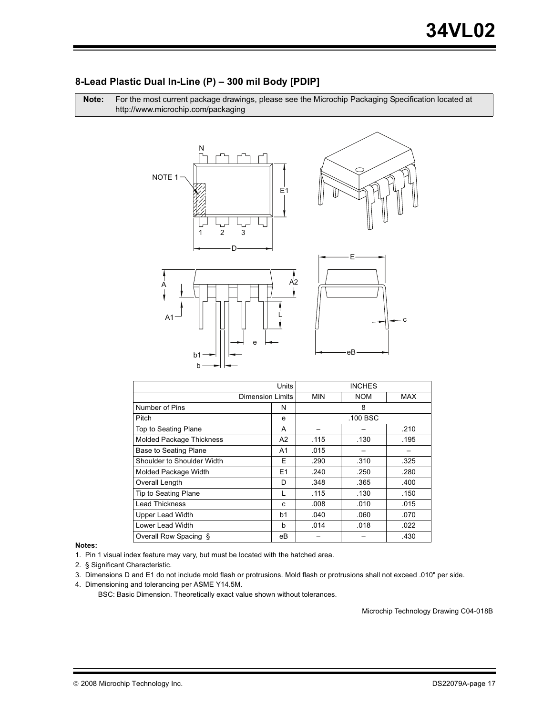# NOTE<sub>1</sub> E1  $\mathbf{1}$  $\overline{c}$ 3 E  $A<sup>1</sup>2$  $\mathbf{\mathbf{t}}$  $A<sub>1</sub>$ C еB  $b<sub>1</sub>$  $\mathsf{h}$

For the most current package drawings, please see the Microchip Packaging Specification located at

| 8-Lead Plastic Dual In-Line (P) - 300 mil Body [PDIP] |  |  |  |
|-------------------------------------------------------|--|--|--|
|-------------------------------------------------------|--|--|--|

http://www.microchip.com/packaging

|                                 | Units                   |            | <b>INCHES</b> |            |
|---------------------------------|-------------------------|------------|---------------|------------|
|                                 | <b>Dimension Limits</b> | <b>MIN</b> | <b>NOM</b>    | <b>MAX</b> |
| Number of Pins                  | N                       |            | 8             |            |
| Pitch                           | е                       |            | .100 BSC      |            |
| Top to Seating Plane            | A                       |            |               | .210       |
| <b>Molded Package Thickness</b> | A2                      | .115       | .130          | .195       |
| <b>Base to Seating Plane</b>    | A1                      | .015       |               |            |
| Shoulder to Shoulder Width      | Е                       | .290       | .310          | .325       |
| Molded Package Width            | E <sub>1</sub>          | .240       | .250          | .280       |
| Overall Length                  | D                       | .348       | .365          | .400       |
| Tip to Seating Plane            |                         | .115       | .130          | .150       |
| <b>Lead Thickness</b>           | C                       | .008       | .010          | .015       |
| <b>Upper Lead Width</b>         | b1                      | .040       | .060          | .070       |
| Lower Lead Width                | b                       | .014       | .018          | .022       |
| Overall Row Spacing §           | eВ                      |            |               | .430       |

Notes:

Note:

1. Pin 1 visual index feature may vary, but must be located with the hatched area.

2. § Significant Characteristic.

3. Dimensions D and E1 do not include mold flash or protrusions. Mold flash or protrusions shall not exceed .010" per side.

4. Dimensioning and tolerancing per ASME Y14.5M.

BSC: Basic Dimension. Theoretically exact value shown without tolerances.

Microchip Technology Drawing C04-018B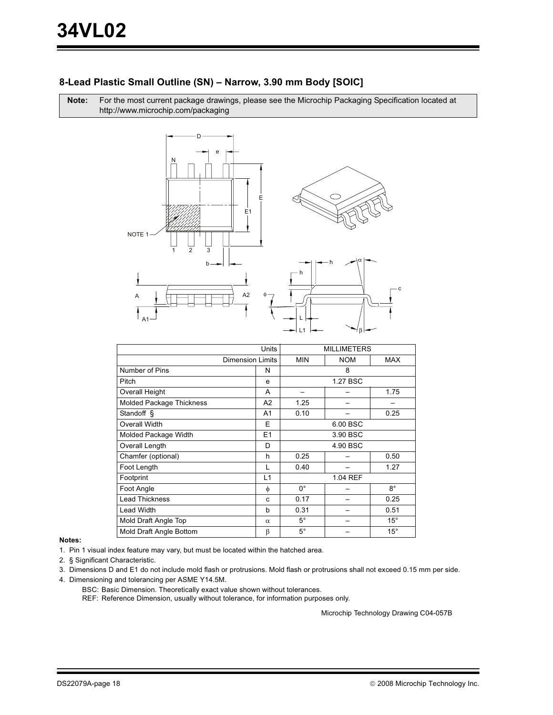#### 8-Lead Plastic Small Outline (SN) - Narrow, 3.90 mm Body [SOIC]

Note: For the most current package drawings, please see the Microchip Packaging Specification located at http://www.microchip.com/packaging



|                                 | Units                   |             | <b>MILLIMETERS</b> |              |  |
|---------------------------------|-------------------------|-------------|--------------------|--------------|--|
|                                 | <b>Dimension Limits</b> | <b>MIN</b>  | <b>NOM</b>         | <b>MAX</b>   |  |
| Number of Pins                  | N                       |             | 8                  |              |  |
| Pitch                           | e                       |             | 1.27 BSC           |              |  |
| Overall Height                  | A                       |             |                    | 1.75         |  |
| <b>Molded Package Thickness</b> | A <sub>2</sub>          | 1.25        |                    |              |  |
| Standoff §                      | A <sub>1</sub>          | 0.10        |                    | 0.25         |  |
| Overall Width                   | E                       | 6.00 BSC    |                    |              |  |
| Molded Package Width            | E1                      | 3.90 BSC    |                    |              |  |
| Overall Length                  | D                       | 4.90 BSC    |                    |              |  |
| Chamfer (optional)              | h                       | 0.25        |                    | 0.50         |  |
| Foot Length                     | L                       | 0.40        |                    | 1.27         |  |
| Footprint                       | L1                      |             | 1.04 REF           |              |  |
| Foot Angle                      | φ                       | $0^{\circ}$ |                    | $8^{\circ}$  |  |
| <b>Lead Thickness</b>           | C                       | 0.17        |                    | 0.25         |  |
| <b>Lead Width</b>               | b                       | 0.31        |                    | 0.51         |  |
| Mold Draft Angle Top            | $\alpha$                | $5^{\circ}$ |                    | $15^{\circ}$ |  |
| Mold Draft Angle Bottom         | β                       | $5^{\circ}$ |                    | $15^{\circ}$ |  |

Notes:

1. Pin 1 visual index feature may vary, but must be located within the hatched area.

2. § Significant Characteristic.

3. Dimensions D and E1 do not include mold flash or protrusions. Mold flash or protrusions shall not exceed 0.15 mm per side.

- 4. Dimensioning and tolerancing per ASME Y14.5M.
	- BSC: Basic Dimension. Theoretically exact value shown without tolerances.

REF: Reference Dimension, usually without tolerance, for information purposes only.

Microchip Technology Drawing C04-057B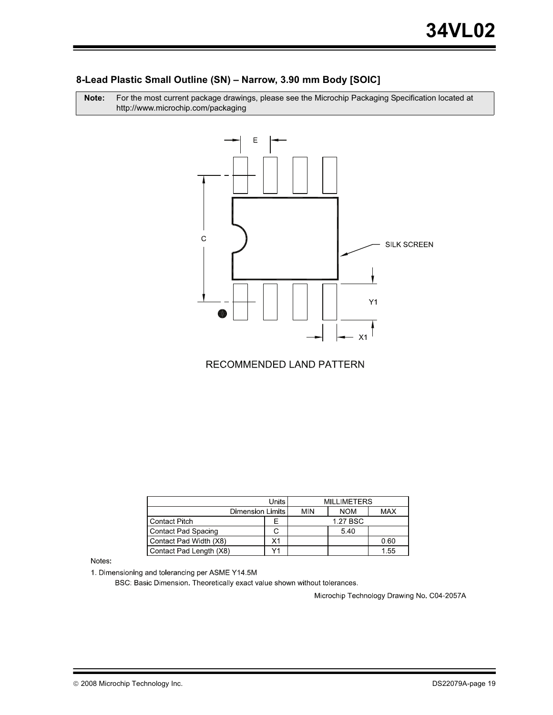#### 8-Lead Plastic Small Outline (SN) - Narrow, 3.90 mm Body [SOIC]

Note: For the most current package drawings, please see the Microchip Packaging Specification located at http://www.microchip.com/packaging



#### **RECOMMENDED LAND PATTERN**

| Units l                 |    |     | <b>MILLIMETERS</b> |            |
|-------------------------|----|-----|--------------------|------------|
| Dimension Limits        |    | MIN | <b>NOM</b>         | <b>MAX</b> |
| <b>Contact Pitch</b>    |    |     | 1.27 BSC           |            |
| Contact Pad Spacing     |    |     | 5.40               |            |
| Contact Pad Width (X8)  | X1 |     |                    | 0.60       |
| Contact Pad Length (X8) |    |     |                    | 1.55       |

Notes:

1. Dimensioning and tolerancing per ASME Y14.5M

BSC: Basic Dimension. Theoretically exact value shown without tolerances.

Microchip Technology Drawing No. C04-2057A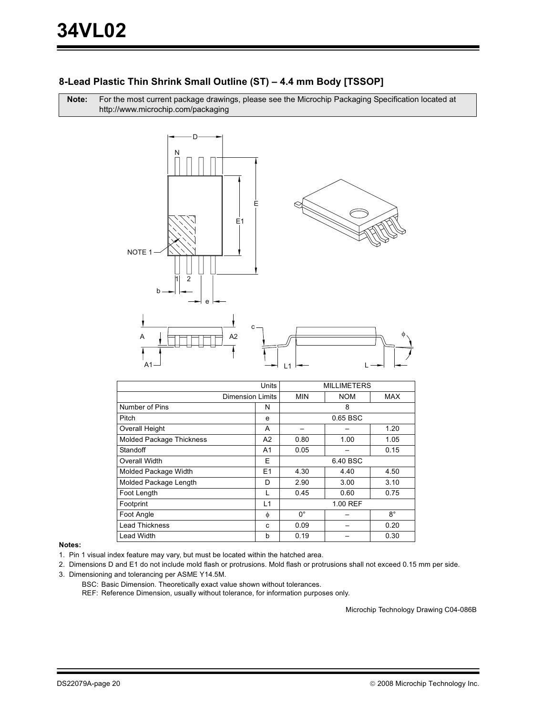#### 8-Lead Plastic Thin Shrink Small Outline (ST) - 4.4 mm Body [TSSOP]

Note: For the most current package drawings, please see the Microchip Packaging Specification located at http://www.microchip.com/packaging



|                                 | Units |             | <b>MILLIMETERS</b> |             |
|---------------------------------|-------|-------------|--------------------|-------------|
| <b>Dimension Limits</b>         |       | <b>MIN</b>  | <b>NOM</b>         | <b>MAX</b>  |
| Number of Pins                  | N     |             | 8                  |             |
| Pitch                           | e     |             | 0.65 BSC           |             |
| Overall Height                  | A     |             |                    | 1.20        |
| <b>Molded Package Thickness</b> | A2    | 0.80        | 1.00               | 1.05        |
| Standoff                        | A1    | 0.05        |                    | 0.15        |
| Overall Width                   | Е     |             | 6.40 BSC           |             |
| Molded Package Width            | E1    | 4.30        | 4.40               | 4.50        |
| Molded Package Length           | D     | 2.90        | 3.00               | 3.10        |
| Foot Length                     |       | 0.45        | 0.60               | 0.75        |
| Footprint                       | L1    |             | 1.00 REF           |             |
| Foot Angle                      | φ     | $0^{\circ}$ |                    | $8^{\circ}$ |
| <b>Lead Thickness</b>           | C     | 0.09        |                    | 0.20        |
| <b>Lead Width</b>               | b     | 0.19        |                    | 0.30        |

Notes:

1. Pin 1 visual index feature may vary, but must be located within the hatched area.

2. Dimensions D and E1 do not include mold flash or protrusions. Mold flash or protrusions shall not exceed 0.15 mm per side.

3. Dimensioning and tolerancing per ASME Y14.5M.

BSC: Basic Dimension. Theoretically exact value shown without tolerances.

REF: Reference Dimension, usually without tolerance, for information purposes only.

Microchip Technology Drawing C04-086B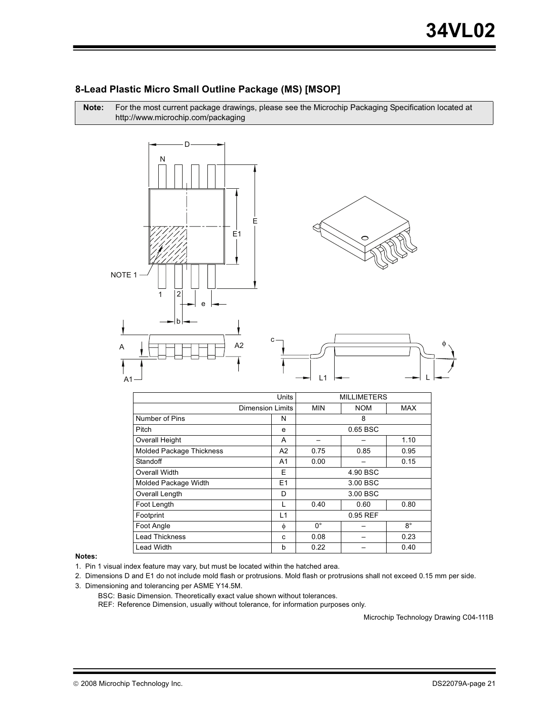

For the most current package drawings, please see the Microchip Packaging Specification located at

#### 8-Lead Plastic Micro Small Outline Package (MS) [MSOP]

|                                 | Units          |             | <b>MILLIMETERS</b> |             |  |
|---------------------------------|----------------|-------------|--------------------|-------------|--|
| <b>Dimension Limits</b>         |                | <b>MIN</b>  | <b>NOM</b>         | MAX         |  |
| Number of Pins                  | N              |             | 8                  |             |  |
| Pitch                           | е              |             | 0.65 BSC           |             |  |
| Overall Height                  | A              |             |                    | 1.10        |  |
| <b>Molded Package Thickness</b> | A <sub>2</sub> | 0.75        | 0.85               | 0.95        |  |
| Standoff                        | A1             | 0.00        |                    | 0.15        |  |
| Overall Width                   | Е              | 4.90 BSC    |                    |             |  |
| Molded Package Width            | E <sub>1</sub> | 3.00 BSC    |                    |             |  |
| Overall Length                  | D              |             | 3.00 BSC           |             |  |
| Foot Length                     |                | 0.40        | 0.60               | 0.80        |  |
| Footprint                       | L1             |             | 0.95 REF           |             |  |
| Foot Angle                      | φ              | $0^{\circ}$ |                    | $8^{\circ}$ |  |
| <b>Lead Thickness</b>           | C              | 0.08        |                    | 0.23        |  |
| <b>Lead Width</b>               | b              | 0.22        |                    | 0.40        |  |

#### Notes:

Note:

- 1. Pin 1 visual index feature may vary, but must be located within the hatched area.
- 2. Dimensions D and E1 do not include mold flash or protrusions. Mold flash or protrusions shall not exceed 0.15 mm per side.
- 3. Dimensioning and tolerancing per ASME Y14.5M.
	- BSC: Basic Dimension. Theoretically exact value shown without tolerances.

REF: Reference Dimension, usually without tolerance, for information purposes only.

Microchip Technology Drawing C04-111B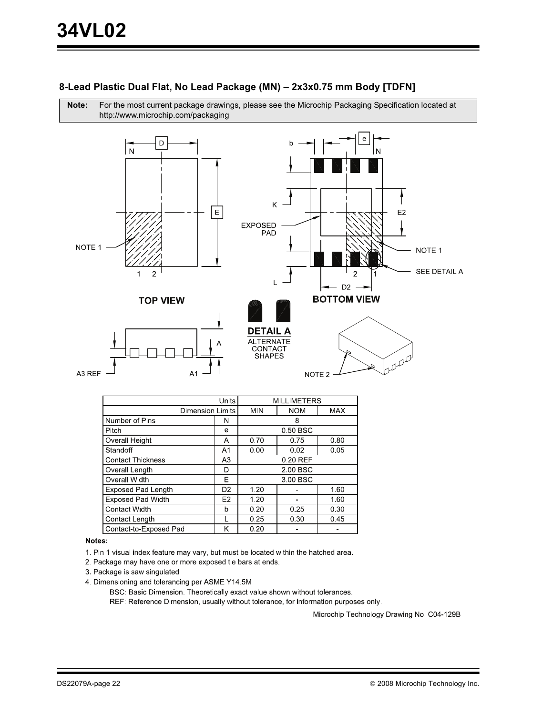

#### 8-Lead Plastic Dual Flat, No Lead Package (MN) - 2x3x0.75 mm Body [TDFN]

| Units                     |                |            | <b>MILLIMETERS</b> |            |
|---------------------------|----------------|------------|--------------------|------------|
| <b>Dimension Limits</b>   |                | <b>MIN</b> | <b>NOM</b>         | <b>MAX</b> |
| Number of Pins            | N              |            | 8                  |            |
| Pitch                     | е              |            | $0.50$ BSC         |            |
| Overall Height            | Α              | 0.70       | 0.75               | 0.80       |
| Standoff                  | A <sub>1</sub> | 0.00       | 0.02               | 0.05       |
| <b>Contact Thickness</b>  | A3             | $0.20$ REF |                    |            |
| Overall Length            | D              | 2.00 BSC   |                    |            |
| Overall Width             | Е              |            | 3.00 BSC           |            |
| <b>Exposed Pad Length</b> | D <sub>2</sub> | 1.20       |                    | 1.60       |
| <b>Exposed Pad Width</b>  | E <sub>2</sub> | 1.20       |                    | 1.60       |
| <b>Contact Width</b>      | b              | 0.20       | 0.25               | 0.30       |
| Contact Length            |                | 0.25       | 0.30               | 0.45       |
| Contact-to-Exposed Pad    | κ              | 0.20       |                    |            |

#### Notes:

1. Pin 1 visual index feature may vary, but must be located within the hatched area.

- 2. Package may have one or more exposed tie bars at ends.
- 3. Package is saw singulated
- 4. Dimensioning and tolerancing per ASME Y14.5M

BSC: Basic Dimension. Theoretically exact value shown without tolerances.

REF: Reference Dimension, usually without tolerance, for information purposes only.

Microchip Technology Drawing No. C04-129B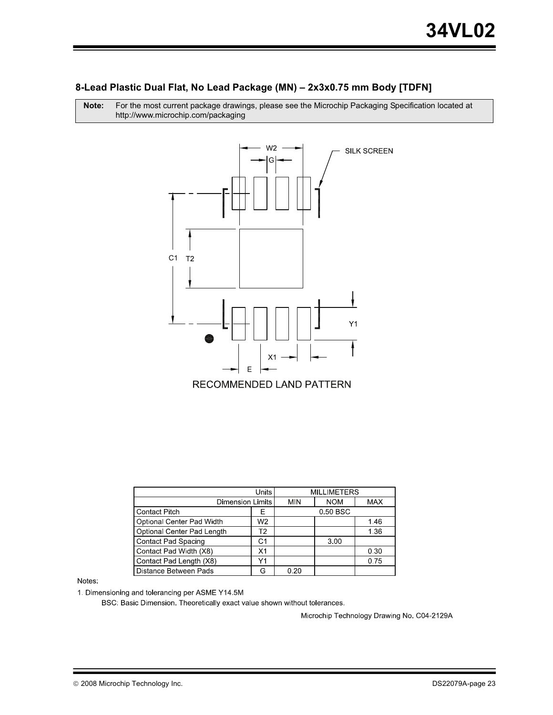#### 8-Lead Plastic Dual Flat, No Lead Package (MN) - 2x3x0.75 mm Body [TDFN]

Note: For the most current package drawings, please see the Microchip Packaging Specification located at http://www.microchip.com/packaging



| Units                      |    |            | <b>MILLIMETERS</b> |            |
|----------------------------|----|------------|--------------------|------------|
| <b>Dimension Limits</b>    |    | <b>MIN</b> | <b>NOM</b>         | <b>MAX</b> |
| <b>Contact Pitch</b>       | F  |            | 0.50 BSC           |            |
| Optional Center Pad Width  | W2 |            |                    | 1.46       |
| Optional Center Pad Length | Т2 |            |                    | 1.36       |
| Contact Pad Spacing        | C1 |            | 3.00               |            |
| Contact Pad Width (X8)     | Х1 |            |                    | 0.30       |
| Contact Pad Length (X8)    | Υ1 |            |                    | 0.75       |
| Distance Between Pads      |    | 0.20       |                    |            |

Notes:

1. Dimensioning and tolerancing per ASME Y14.5M

BSC: Basic Dimension. Theoretically exact value shown without tolerances.

Microchip Technology Drawing No. C04-2129A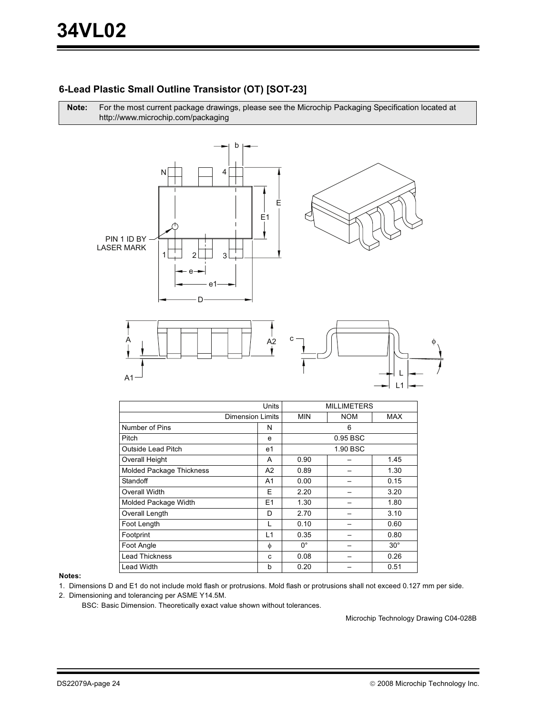#### 6-Lead Plastic Small Outline Transistor (OT) [SOT-23]

For the most current package drawings, please see the Microchip Packaging Specification located at Note: http://www.microchip.com/packaging





|                                 | Units                   |             | <b>MILLIMETERS</b> |              |
|---------------------------------|-------------------------|-------------|--------------------|--------------|
|                                 | <b>Dimension Limits</b> | <b>MIN</b>  | <b>NOM</b>         | <b>MAX</b>   |
| Number of Pins                  | N                       |             | 6                  |              |
| Pitch                           | e                       |             | 0.95 BSC           |              |
| <b>Outside Lead Pitch</b>       | e1                      |             | 1.90 BSC           |              |
| <b>Overall Height</b>           | A                       | 0.90        |                    | 1.45         |
| <b>Molded Package Thickness</b> | A <sub>2</sub>          | 0.89        |                    | 1.30         |
| Standoff                        | A <sub>1</sub>          | 0.00        |                    | 0.15         |
| Overall Width                   | Е                       | 2.20        |                    | 3.20         |
| Molded Package Width            | E <sub>1</sub>          | 1.30        |                    | 1.80         |
| Overall Length                  | D                       | 2.70        |                    | 3.10         |
| Foot Length                     | L                       | 0.10        |                    | 0.60         |
| Footprint                       | L1                      | 0.35        |                    | 0.80         |
| Foot Angle                      | φ                       | $0^{\circ}$ |                    | $30^{\circ}$ |
| <b>Lead Thickness</b>           | C                       | 0.08        |                    | 0.26         |
| <b>Lead Width</b>               | b                       | 0.20        |                    | 0.51         |

#### Notes:

1. Dimensions D and E1 do not include mold flash or protrusions. Mold flash or protrusions shall not exceed 0.127 mm per side.

2. Dimensioning and tolerancing per ASME Y14.5M.

BSC: Basic Dimension. Theoretically exact value shown without tolerances.

Microchip Technology Drawing C04-028B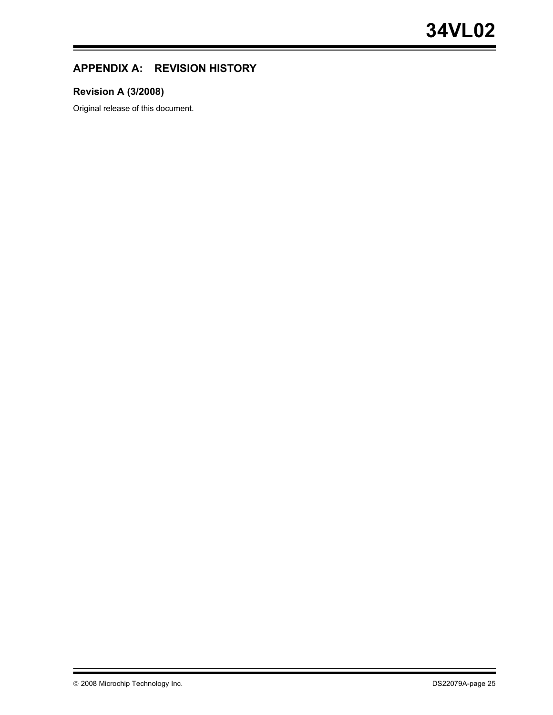#### **APPENDIX A: REVISION HISTORY**

#### **Revision A (3/2008)**

Original release of this document.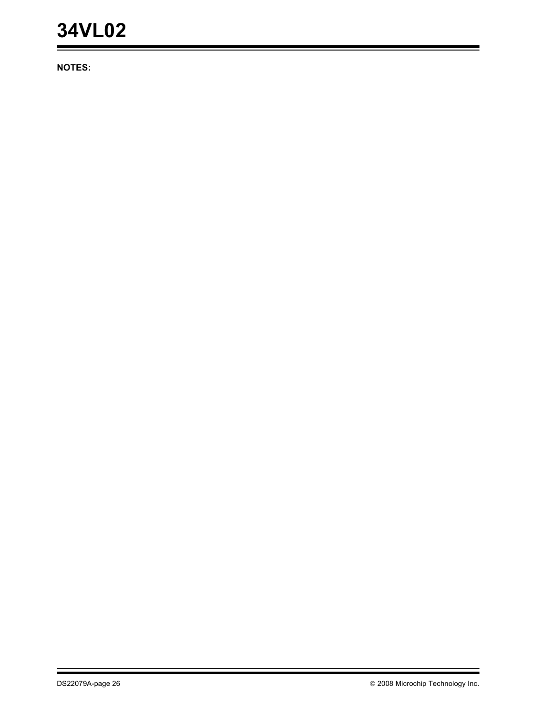# **34VL02**

**NOTES:**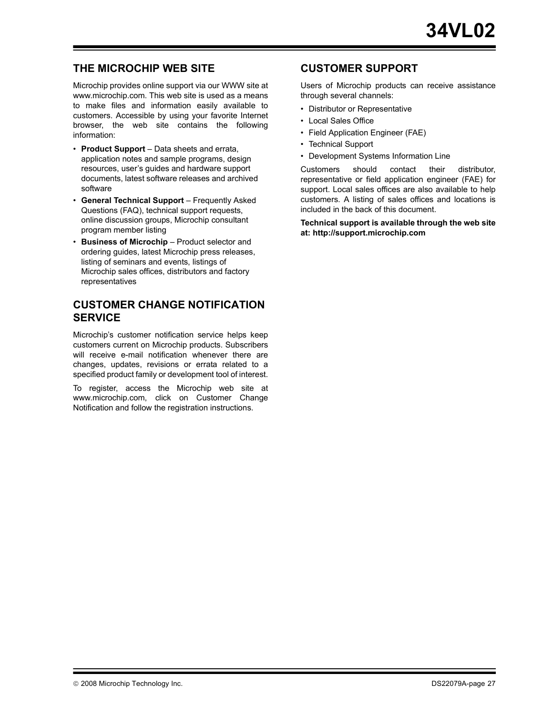#### **THE MICROCHIP WEB SITE**

Microchip provides online support via our WWW site at www.microchip.com. This web site is used as a means to make files and information easily available to customers. Accessible by using your favorite Internet browser, the web site contains the following information:

- **Product Support** Data sheets and errata, application notes and sample programs, design resources, user's guides and hardware support documents, latest software releases and archived software
- **General Technical Support** Frequently Asked Questions (FAQ), technical support requests, online discussion groups, Microchip consultant program member listing
- **Business of Microchip** Product selector and ordering guides, latest Microchip press releases, listing of seminars and events, listings of Microchip sales offices, distributors and factory representatives

#### **CUSTOMER CHANGE NOTIFICATION SERVICE**

Microchip's customer notification service helps keep customers current on Microchip products. Subscribers will receive e-mail notification whenever there are changes, updates, revisions or errata related to a specified product family or development tool of interest.

To register, access the Microchip web site at www.microchip.com, click on Customer Change Notification and follow the registration instructions.

#### **CUSTOMER SUPPORT**

Users of Microchip products can receive assistance through several channels:

- Distributor or Representative
- Local Sales Office
- Field Application Engineer (FAE)
- Technical Support
- Development Systems Information Line

Customers should contact their distributor, representative or field application engineer (FAE) for support. Local sales offices are also available to help customers. A listing of sales offices and locations is included in the back of this document.

**Technical support is available through the web site at: http://support.microchip.com**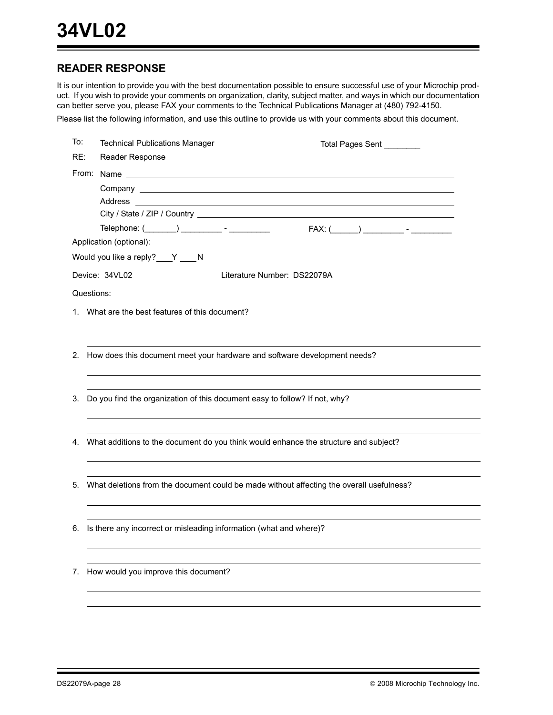#### **READER RESPONSE**

It is our intention to provide you with the best documentation possible to ensure successful use of your Microchip product. If you wish to provide your comments on organization, clarity, subject matter, and ways in which our documentation can better serve you, please FAX your comments to the Technical Publications Manager at (480) 792-4150.

Please list the following information, and use this outline to provide us with your comments about this document.

| To: | <b>Technical Publications Manager</b>                                 | Total Pages Sent ________                                                                |
|-----|-----------------------------------------------------------------------|------------------------------------------------------------------------------------------|
| RE: | Reader Response                                                       |                                                                                          |
|     |                                                                       |                                                                                          |
|     |                                                                       |                                                                                          |
|     |                                                                       | Address <u>experimental</u>                                                              |
|     |                                                                       |                                                                                          |
|     |                                                                       | Telephone: (_______) ___________ - ___________    FAX: (_____) _________ - __________    |
|     | Application (optional):                                               |                                                                                          |
|     | Would you like a reply? Y ___ N                                       |                                                                                          |
|     | Device: 34VL02                                                        | Literature Number: DS22079A                                                              |
|     | Questions:                                                            |                                                                                          |
|     | 1. What are the best features of this document?                       |                                                                                          |
|     |                                                                       |                                                                                          |
|     |                                                                       |                                                                                          |
| 2.  |                                                                       | How does this document meet your hardware and software development needs?                |
|     |                                                                       |                                                                                          |
|     |                                                                       |                                                                                          |
| 3.  |                                                                       | Do you find the organization of this document easy to follow? If not, why?               |
|     |                                                                       |                                                                                          |
|     |                                                                       |                                                                                          |
|     |                                                                       | 4. What additions to the document do you think would enhance the structure and subject?  |
|     |                                                                       |                                                                                          |
|     |                                                                       |                                                                                          |
| 5.  |                                                                       | What deletions from the document could be made without affecting the overall usefulness? |
|     |                                                                       |                                                                                          |
|     |                                                                       |                                                                                          |
|     | 6. Is there any incorrect or misleading information (what and where)? |                                                                                          |
|     |                                                                       |                                                                                          |
|     |                                                                       |                                                                                          |
| 7.  | How would you improve this document?                                  |                                                                                          |
|     |                                                                       |                                                                                          |
|     |                                                                       |                                                                                          |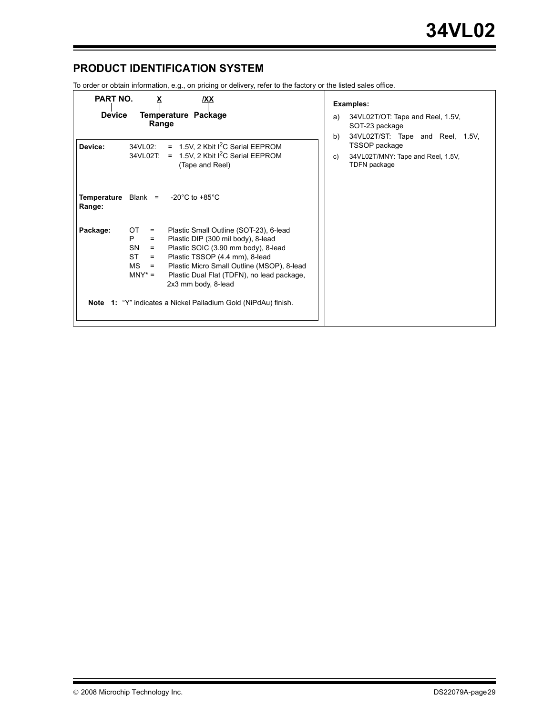### **PRODUCT IDENTIFICATION SYSTEM**

To order or obtain information, e.g., on pricing or delivery, refer to the factory or the listed sales office.

| <b>PART NO.</b> | χ<br>/XX                                                                                                                                                                                                                                                                                                                                                                                                                                             | <b>Examples:</b>                                                                                                   |
|-----------------|------------------------------------------------------------------------------------------------------------------------------------------------------------------------------------------------------------------------------------------------------------------------------------------------------------------------------------------------------------------------------------------------------------------------------------------------------|--------------------------------------------------------------------------------------------------------------------|
| <b>Device</b>   | Temperature Package<br>Range                                                                                                                                                                                                                                                                                                                                                                                                                         | 34VL02T/OT: Tape and Reel, 1.5V,<br>a)<br>SOT-23 package                                                           |
| Device:         | $= 1.5V$ , 2 Kbit $I2C$ Serial EEPROM<br>34VL02:<br>1.5V, 2 Kbit I <sup>2</sup> C Serial EEPROM<br>34VL02T:<br>$=$<br>(Tape and Reel)                                                                                                                                                                                                                                                                                                                | 34VL02T/ST: Tape and Reel, 1.5V,<br>b)<br>TSSOP package<br>34VL02T/MNY: Tape and Reel, 1.5V,<br>C)<br>TDFN package |
| Range:          | <b>Temperature</b> Blank = $-20^{\circ}$ C to +85 $^{\circ}$ C                                                                                                                                                                                                                                                                                                                                                                                       |                                                                                                                    |
| Package:        | ОT<br>Plastic Small Outline (SOT-23), 6-lead<br>$=$<br>P<br>Plastic DIP (300 mil body), 8-lead<br>$\equiv$<br>Plastic SOIC (3.90 mm body), 8-lead<br><b>SN</b><br>$\equiv$<br><b>ST</b><br>Plastic TSSOP (4.4 mm), 8-lead<br>$=$<br>Plastic Micro Small Outline (MSOP), 8-lead<br>MS.<br>$\equiv$<br>$MN^* =$<br>Plastic Dual Flat (TDFN), no lead package,<br>2x3 mm body, 8-lead<br>Note 1: "Y" indicates a Nickel Palladium Gold (NiPdAu) finish. |                                                                                                                    |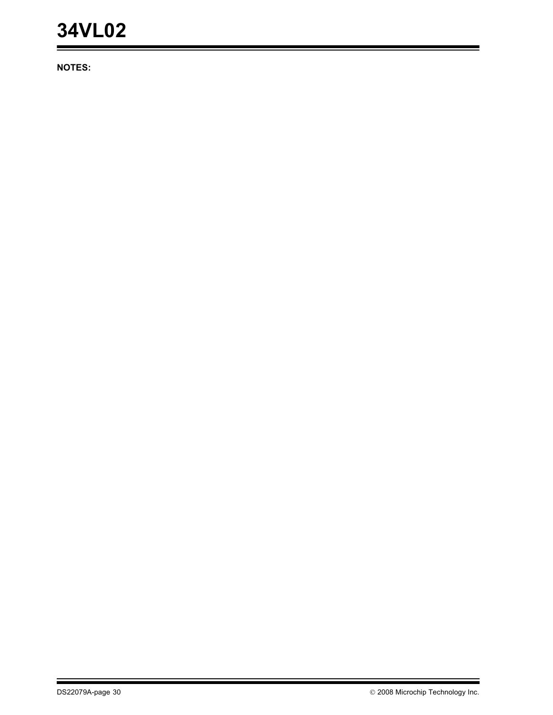# **34VL02**

**NOTES:**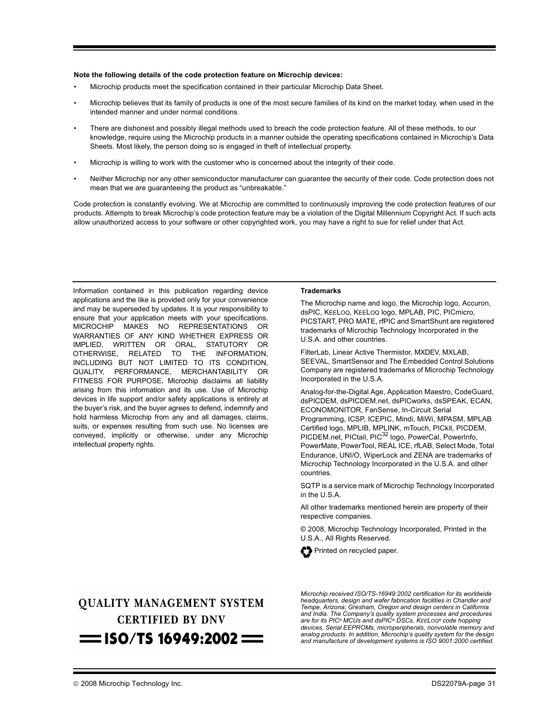#### **Note the following details of the code protection feature on Microchip devices:**

- Microchip products meet the specification contained in their particular Microchip Data Sheet.
- Microchip believes that its family of products is one of the most secure families of its kind on the market today, when used in the intended manner and under normal conditions.
- There are dishonest and possibly illegal methods used to breach the code protection feature. All of these methods, to our knowledge, require using the Microchip products in a manner outside the operating specifications contained in Microchip's Data Sheets. Most likely, the person doing so is engaged in theft of intellectual property.
- Microchip is willing to work with the customer who is concerned about the integrity of their code.
- Neither Microchip nor any other semiconductor manufacturer can guarantee the security of their code. Code protection does not mean that we are guaranteeing the product as "unbreakable."

Code protection is constantly evolving. We at Microchip are committed to continuously improving the code protection features of our products. Attempts to break Microchip's code protection feature may be a violation of the Digital Millennium Copyright Act. If such acts allow unauthorized access to your software or other copyrighted work, you may have a right to sue for relief under that Act.

Information contained in this publication regarding device applications and the like is provided only for your convenience and may be superseded by updates. It is your responsibility to ensure that your application meets with your specifications. MICROCHIP MAKES NO REPRESENTATIONS OR WARRANTIES OF ANY KIND WHETHER EXPRESS OR IMPLIED, WRITTEN OR ORAL, STATUTORY OR OTHERWISE, RELATED TO THE INFORMATION, INCLUDING BUT NOT LIMITED TO ITS CONDITION, QUALITY, PERFORMANCE, MERCHANTABILITY OR FITNESS FOR PURPOSE**.** Microchip disclaims all liability arising from this information and its use. Use of Microchip devices in life support and/or safety applications is entirely at the buyer's risk, and the buyer agrees to defend, indemnify and hold harmless Microchip from any and all damages, claims, suits, or expenses resulting from such use. No licenses are conveyed, implicitly or otherwise, under any Microchip intellectual property rights.

#### **Trademarks**

The Microchip name and logo, the Microchip logo, Accuron, dsPIC, KEELOQ, KEELOQ logo, MPLAB, PIC, PICmicro, PICSTART, PRO MATE, rfPIC and SmartShunt are registered trademarks of Microchip Technology Incorporated in the U.S.A. and other countries.

FilterLab, Linear Active Thermistor, MXDEV, MXLAB, SEEVAL, SmartSensor and The Embedded Control Solutions Company are registered trademarks of Microchip Technology Incorporated in the U.S.A.

Analog-for-the-Digital Age, Application Maestro, CodeGuard, dsPICDEM, dsPICDEM.net, dsPICworks, dsSPEAK, ECAN, ECONOMONITOR, FanSense, In-Circuit Serial Programming, ICSP, ICEPIC, Mindi, MiWi, MPASM, MPLAB Certified logo, MPLIB, MPLINK, mTouch, PICkit, PICDEM, PICDEM.net, PICtail, PIC<sup>32</sup> logo, PowerCal, PowerInfo, PowerMate, PowerTool, REAL ICE, rfLAB, Select Mode, Total Endurance, UNI/O, WiperLock and ZENA are trademarks of Microchip Technology Incorporated in the U.S.A. and other countries.

SQTP is a service mark of Microchip Technology Incorporated in the U.S.A.

All other trademarks mentioned herein are property of their respective companies.

© 2008, Microchip Technology Incorporated, Printed in the U.S.A., All Rights Reserved.



## **QUALITY MANAGEMENT SYSTEM CERTIFIED BY DNV**  $=$  ISO/TS 16949:2002  $=$

*Microchip received ISO/TS-16949:2002 certification for its worldwide headquarters, design and wafer fabrication facilities in Chandler and Tempe, Arizona; Gresham, Oregon and design centers in California and India. The Company's quality system processes and procedures are for its PIC® MCUs and dsPIC® DSCs, KEELOQ® code hopping devices, Serial EEPROMs, microperipherals, nonvolatile memory and analog products. In addition, Microchip's quality system for the design and manufacture of development systems is ISO 9001:2000 certified.*